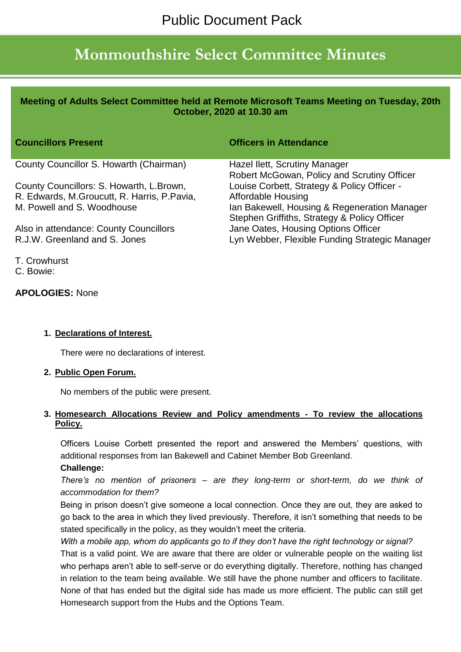# **Monmouthshire Select Committee Minutes**

## **Meeting of Adults Select Committee held at Remote Microsoft Teams Meeting on Tuesday, 20th October, 2020 at 10.30 am**

| <b>Councillors Present</b>                  | <b>Officers in Attendance</b>                  |
|---------------------------------------------|------------------------------------------------|
| County Councillor S. Howarth (Chairman)     | Hazel Ilett, Scrutiny Manager                  |
|                                             | Robert McGowan, Policy and Scrutiny Officer    |
| County Councillors: S. Howarth, L. Brown,   | Louise Corbett, Strategy & Policy Officer -    |
| R. Edwards, M.Groucutt, R. Harris, P.Pavia, | <b>Affordable Housing</b>                      |
| M. Powell and S. Woodhouse                  | Ian Bakewell, Housing & Regeneration Manager   |
|                                             | Stephen Griffiths, Strategy & Policy Officer   |
| Also in attendance: County Councillors      | Jane Oates, Housing Options Officer            |
| R.J.W. Greenland and S. Jones               | Lyn Webber, Flexible Funding Strategic Manager |

T. Crowhurst C. Bowie:

## **APOLOGIES:** None

#### **1. Declarations of Interest.**

There were no declarations of interest.

#### **2. Public Open Forum.**

No members of the public were present.

#### **3. Homesearch Allocations Review and Policy amendments - To review the allocations Policy.**

Officers Louise Corbett presented the report and answered the Members' questions, with additional responses from Ian Bakewell and Cabinet Member Bob Greenland.

#### **Challenge:**

*There's no mention of prisoners – are they long-term or short-term, do we think of accommodation for them?*

Being in prison doesn't give someone a local connection. Once they are out, they are asked to go back to the area in which they lived previously. Therefore, it isn't something that needs to be stated specifically in the policy, as they wouldn't meet the criteria.

*With a mobile app, whom do applicants go to if they don't have the right technology or signal?* That is a valid point. We are aware that there are older or vulnerable people on the waiting list who perhaps aren't able to self-serve or do everything digitally. Therefore, nothing has changed in relation to the team being available. We still have the phone number and officers to facilitate. None of that has ended but the digital side has made us more efficient. The public can still get Homesearch support from the Hubs and the Options Team.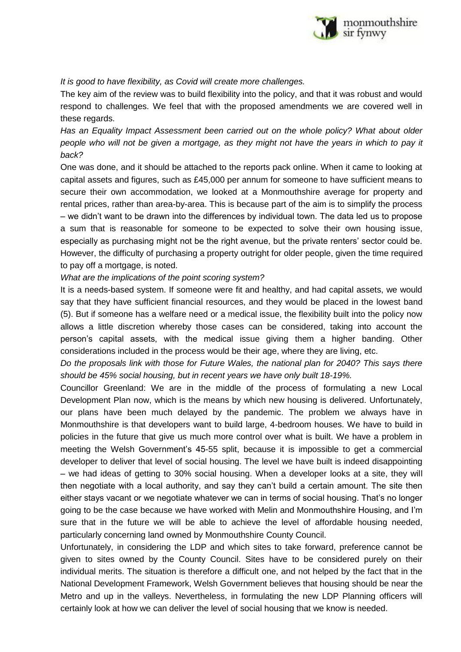

## *It is good to have flexibility, as Covid will create more challenges.*

The key aim of the review was to build flexibility into the policy, and that it was robust and would respond to challenges. We feel that with the proposed amendments we are covered well in these regards.

*Has an Equality Impact Assessment been carried out on the whole policy? What about older people who will not be given a mortgage, as they might not have the years in which to pay it back?*

One was done, and it should be attached to the reports pack online. When it came to looking at capital assets and figures, such as £45,000 per annum for someone to have sufficient means to secure their own accommodation, we looked at a Monmouthshire average for property and rental prices, rather than area-by-area. This is because part of the aim is to simplify the process – we didn't want to be drawn into the differences by individual town. The data led us to propose a sum that is reasonable for someone to be expected to solve their own housing issue, especially as purchasing might not be the right avenue, but the private renters' sector could be. However, the difficulty of purchasing a property outright for older people, given the time required to pay off a mortgage, is noted.

*What are the implications of the point scoring system?*

It is a needs-based system. If someone were fit and healthy, and had capital assets, we would say that they have sufficient financial resources, and they would be placed in the lowest band (5). But if someone has a welfare need or a medical issue, the flexibility built into the policy now allows a little discretion whereby those cases can be considered, taking into account the person's capital assets, with the medical issue giving them a higher banding. Other considerations included in the process would be their age, where they are living, etc.

*Do the proposals link with those for Future Wales, the national plan for 2040? This says there should be 45% social housing, but in recent years we have only built 18-19%.*

Councillor Greenland: We are in the middle of the process of formulating a new Local Development Plan now, which is the means by which new housing is delivered. Unfortunately, our plans have been much delayed by the pandemic. The problem we always have in Monmouthshire is that developers want to build large, 4-bedroom houses. We have to build in policies in the future that give us much more control over what is built. We have a problem in meeting the Welsh Government's 45-55 split, because it is impossible to get a commercial developer to deliver that level of social housing. The level we have built is indeed disappointing – we had ideas of getting to 30% social housing. When a developer looks at a site, they will then negotiate with a local authority, and say they can't build a certain amount. The site then either stays vacant or we negotiate whatever we can in terms of social housing. That's no longer going to be the case because we have worked with Melin and Monmouthshire Housing, and I'm sure that in the future we will be able to achieve the level of affordable housing needed, particularly concerning land owned by Monmouthshire County Council.

Unfortunately, in considering the LDP and which sites to take forward, preference cannot be given to sites owned by the County Council. Sites have to be considered purely on their individual merits. The situation is therefore a difficult one, and not helped by the fact that in the National Development Framework, Welsh Government believes that housing should be near the Metro and up in the valleys. Nevertheless, in formulating the new LDP Planning officers will certainly look at how we can deliver the level of social housing that we know is needed.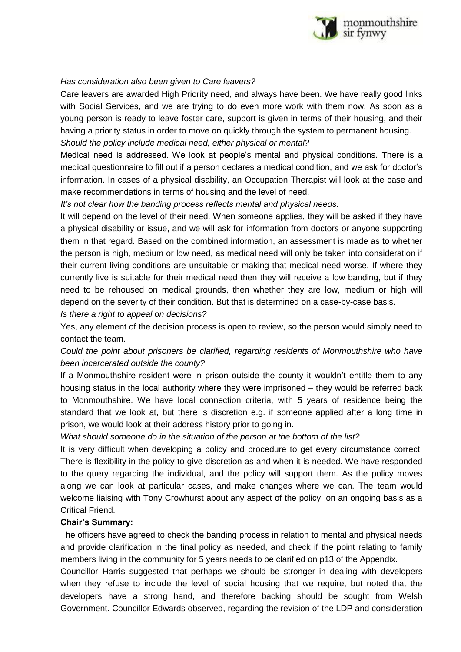

## *Has consideration also been given to Care leavers?*

Care leavers are awarded High Priority need, and always have been. We have really good links with Social Services, and we are trying to do even more work with them now. As soon as a young person is ready to leave foster care, support is given in terms of their housing, and their having a priority status in order to move on quickly through the system to permanent housing.

*Should the policy include medical need, either physical or mental?*

Medical need is addressed. We look at people's mental and physical conditions. There is a medical questionnaire to fill out if a person declares a medical condition, and we ask for doctor's information. In cases of a physical disability, an Occupation Therapist will look at the case and make recommendations in terms of housing and the level of need.

*It's not clear how the banding process reflects mental and physical needs.*

It will depend on the level of their need. When someone applies, they will be asked if they have a physical disability or issue, and we will ask for information from doctors or anyone supporting them in that regard. Based on the combined information, an assessment is made as to whether the person is high, medium or low need, as medical need will only be taken into consideration if their current living conditions are unsuitable or making that medical need worse. If where they currently live is suitable for their medical need then they will receive a low banding, but if they need to be rehoused on medical grounds, then whether they are low, medium or high will depend on the severity of their condition. But that is determined on a case-by-case basis.

*Is there a right to appeal on decisions?*

Yes, any element of the decision process is open to review, so the person would simply need to contact the team.

*Could the point about prisoners be clarified, regarding residents of Monmouthshire who have been incarcerated outside the county?*

If a Monmouthshire resident were in prison outside the county it wouldn't entitle them to any housing status in the local authority where they were imprisoned – they would be referred back to Monmouthshire. We have local connection criteria, with 5 years of residence being the standard that we look at, but there is discretion e.g. if someone applied after a long time in prison, we would look at their address history prior to going in.

*What should someone do in the situation of the person at the bottom of the list?*

It is very difficult when developing a policy and procedure to get every circumstance correct. There is flexibility in the policy to give discretion as and when it is needed. We have responded to the query regarding the individual, and the policy will support them. As the policy moves along we can look at particular cases, and make changes where we can. The team would welcome liaising with Tony Crowhurst about any aspect of the policy, on an ongoing basis as a Critical Friend.

#### **Chair's Summary:**

The officers have agreed to check the banding process in relation to mental and physical needs and provide clarification in the final policy as needed, and check if the point relating to family members living in the community for 5 years needs to be clarified on p13 of the Appendix.

Councillor Harris suggested that perhaps we should be stronger in dealing with developers when they refuse to include the level of social housing that we require, but noted that the developers have a strong hand, and therefore backing should be sought from Welsh Government. Councillor Edwards observed, regarding the revision of the LDP and consideration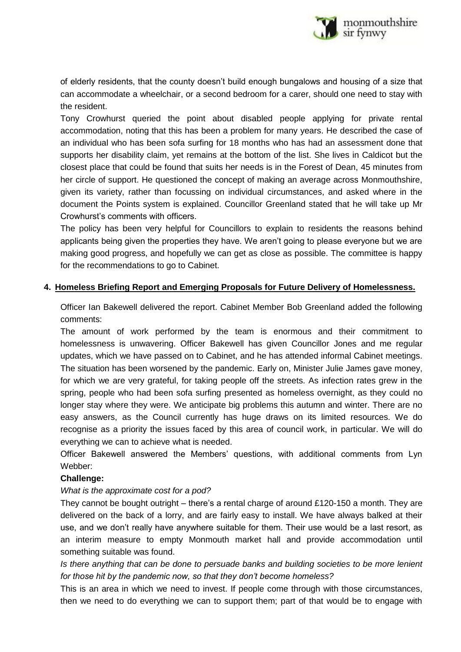

of elderly residents, that the county doesn't build enough bungalows and housing of a size that can accommodate a wheelchair, or a second bedroom for a carer, should one need to stay with the resident.

Tony Crowhurst queried the point about disabled people applying for private rental accommodation, noting that this has been a problem for many years. He described the case of an individual who has been sofa surfing for 18 months who has had an assessment done that supports her disability claim, yet remains at the bottom of the list. She lives in Caldicot but the closest place that could be found that suits her needs is in the Forest of Dean, 45 minutes from her circle of support. He questioned the concept of making an average across Monmouthshire, given its variety, rather than focussing on individual circumstances, and asked where in the document the Points system is explained. Councillor Greenland stated that he will take up Mr Crowhurst's comments with officers.

The policy has been very helpful for Councillors to explain to residents the reasons behind applicants being given the properties they have. We aren't going to please everyone but we are making good progress, and hopefully we can get as close as possible. The committee is happy for the recommendations to go to Cabinet.

## **4. Homeless Briefing Report and Emerging Proposals for Future Delivery of Homelessness.**

Officer Ian Bakewell delivered the report. Cabinet Member Bob Greenland added the following comments:

The amount of work performed by the team is enormous and their commitment to homelessness is unwavering. Officer Bakewell has given Councillor Jones and me regular updates, which we have passed on to Cabinet, and he has attended informal Cabinet meetings. The situation has been worsened by the pandemic. Early on, Minister Julie James gave money, for which we are very grateful, for taking people off the streets. As infection rates grew in the spring, people who had been sofa surfing presented as homeless overnight, as they could no longer stay where they were. We anticipate big problems this autumn and winter. There are no easy answers, as the Council currently has huge draws on its limited resources. We do recognise as a priority the issues faced by this area of council work, in particular. We will do everything we can to achieve what is needed.

Officer Bakewell answered the Members' questions, with additional comments from Lyn Webber:

# **Challenge:**

# *What is the approximate cost for a pod?*

They cannot be bought outright – there's a rental charge of around £120-150 a month. They are delivered on the back of a lorry, and are fairly easy to install. We have always balked at their use, and we don't really have anywhere suitable for them. Their use would be a last resort, as an interim measure to empty Monmouth market hall and provide accommodation until something suitable was found.

*Is there anything that can be done to persuade banks and building societies to be more lenient for those hit by the pandemic now, so that they don't become homeless?*

This is an area in which we need to invest. If people come through with those circumstances, then we need to do everything we can to support them; part of that would be to engage with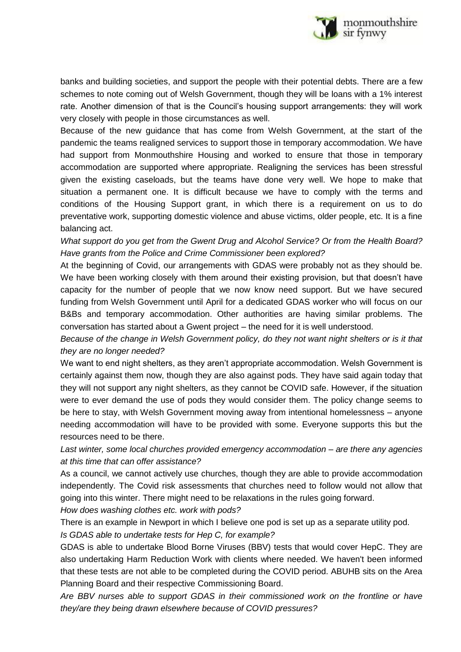

banks and building societies, and support the people with their potential debts. There are a few schemes to note coming out of Welsh Government, though they will be loans with a 1% interest rate. Another dimension of that is the Council's housing support arrangements: they will work very closely with people in those circumstances as well.

Because of the new guidance that has come from Welsh Government, at the start of the pandemic the teams realigned services to support those in temporary accommodation. We have had support from Monmouthshire Housing and worked to ensure that those in temporary accommodation are supported where appropriate. Realigning the services has been stressful given the existing caseloads, but the teams have done very well. We hope to make that situation a permanent one. It is difficult because we have to comply with the terms and conditions of the Housing Support grant, in which there is a requirement on us to do preventative work, supporting domestic violence and abuse victims, older people, etc. It is a fine balancing act.

*What support do you get from the Gwent Drug and Alcohol Service? Or from the Health Board? Have grants from the Police and Crime Commissioner been explored?*

At the beginning of Covid, our arrangements with GDAS were probably not as they should be. We have been working closely with them around their existing provision, but that doesn't have capacity for the number of people that we now know need support. But we have secured funding from Welsh Government until April for a dedicated GDAS worker who will focus on our B&Bs and temporary accommodation. Other authorities are having similar problems. The conversation has started about a Gwent project – the need for it is well understood.

*Because of the change in Welsh Government policy, do they not want night shelters or is it that they are no longer needed?*

We want to end night shelters, as they aren't appropriate accommodation. Welsh Government is certainly against them now, though they are also against pods. They have said again today that they will not support any night shelters, as they cannot be COVID safe. However, if the situation were to ever demand the use of pods they would consider them. The policy change seems to be here to stay, with Welsh Government moving away from intentional homelessness – anyone needing accommodation will have to be provided with some. Everyone supports this but the resources need to be there.

*Last winter, some local churches provided emergency accommodation – are there any agencies at this time that can offer assistance?*

As a council, we cannot actively use churches, though they are able to provide accommodation independently. The Covid risk assessments that churches need to follow would not allow that going into this winter. There might need to be relaxations in the rules going forward.

*How does washing clothes etc. work with pods?*

There is an example in Newport in which I believe one pod is set up as a separate utility pod.

*Is GDAS able to undertake tests for Hep C, for example?*

GDAS is able to undertake Blood Borne Viruses (BBV) tests that would cover HepC. They are also undertaking Harm Reduction Work with clients where needed. We haven't been informed that these tests are not able to be completed during the COVID period. ABUHB sits on the Area Planning Board and their respective Commissioning Board.

*Are BBV nurses able to support GDAS in their commissioned work on the frontline or have they/are they being drawn elsewhere because of COVID pressures?*